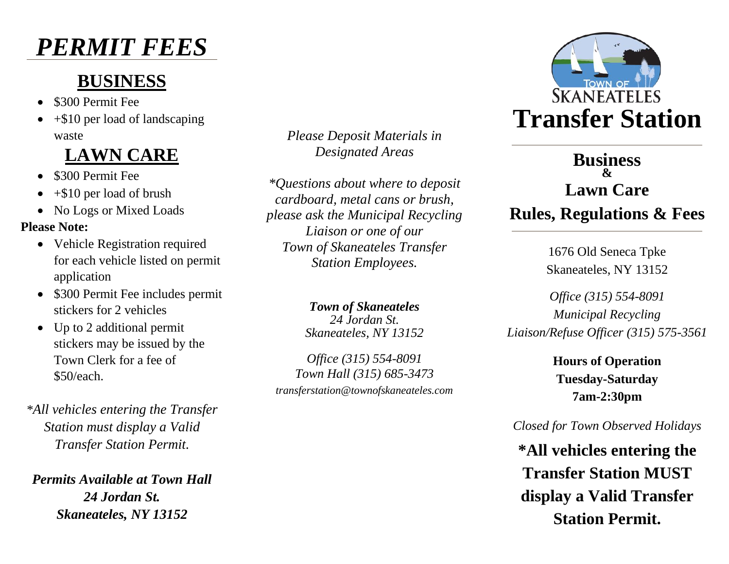# *PERMIT FEES*

## **BUSINESS**

- \$300 Permit Fee
- $\bullet$  +\$10 per load of landscaping waste

## **LAWN CARE**

- \$300 Permit Fee
- $\bullet$  +\$10 per load of brush
- No Logs or Mixed Loads

#### **Please Note:**

- Vehicle Registration required for each vehicle listed on permit application
- \$300 Permit Fee includes permit stickers for 2 vehicles
- Up to 2 additional permit stickers may be issued by the Town Clerk for a fee of \$50/each.

*\*All vehicles entering the Transfer Station must display a Valid Transfer Station Permit.*

*Permits Available at Town Hall 24 Jordan St. Skaneateles, NY 13152*

*Please Deposit Materials in Designated Areas*

*\*Questions about where to deposit cardboard, metal cans or brush, please ask the Municipal Recycling Liaison or one of our Town of Skaneateles Transfer Station Employees.*

> *Town of Skaneateles 24 Jordan St. Skaneateles, NY 13152*

*Office (315) 554-8091 Town Hall (315) 685-3473 transferstation@townofskaneateles.com*



### **Business & Lawn Care Rules, Regulations & Fees**

1676 Old Seneca Tpke Skaneateles, NY 13152

*Office (315) 554-8091 Municipal Recycling Liaison/Refuse Officer (315) 575-3561*

> **Hours of Operation Tuesday-Saturday 7am-2:30pm**

#### *Closed for Town Observed Holidays*

**\*All vehicles entering the Transfer Station MUST display a Valid Transfer Station Permit.**